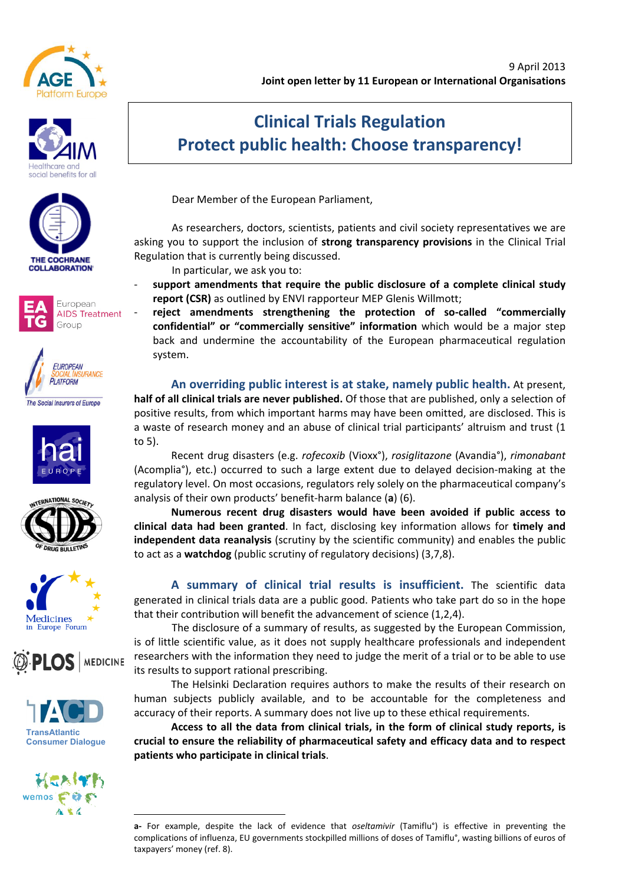



















# **Clinical Trials Regulation Protect public health: Choose transparency!**

Dear Member of the European Parliament,

As researchers, doctors, scientists, patients and civil society representatives we are asking you to support the inclusion of strong transparency provisions in the Clinical Trial Regulation that is currently being discussed.

In particular, we ask you to:

- support amendments that require the public disclosure of a complete clinical study **report (CSR)** as outlined by ENVI rapporteur MEP Glenis Willmott;
	- reject amendments strengthening the protection of so-called "commercially confidential" or "commercially sensitive" information which would be a major step back and undermine the accountability of the European pharmaceutical regulation system.

An overriding public interest is at stake, namely public health. At present, **half of all clinical trials are never published.** Of those that are published, only a selection of positive results, from which important harms may have been omitted, are disclosed. This is a waste of research money and an abuse of clinical trial participants' altruism and trust (1 to  $5$ ).

Recent"drug"disasters" (e.g."*rofecoxib)*(Vioxx°),"*rosiglitazone*" (Avandia°), *rimonabant)* (Acomplia°), etc.) occurred to such a large extent due to delayed decision-making at the regulatory level. On most occasions, regulators rely solely on the pharmaceutical company's analysis of their own products' benefit-harm balance (a) (6).

**Numerous& recent& drug& disasters& would& have& been& avoided& if& public& access& to& clinical data had been granted**. In fact, disclosing key information allows for **timely and** independent data reanalysis (scrutiny by the scientific community) and enables the public to act as a **watchdog** (public scrutiny of regulatory decisions) (3,7,8).

A summary of clinical trial results is insufficient. The scientific data generated in clinical trials data are a public good. Patients who take part do so in the hope that their contribution will benefit the advancement of science (1,2,4).

The disclosure of a summary of results, as suggested by the European Commission, is of little scientific value, as it does not supply healthcare professionals and independent researchers with the information they need to judge the merit of a trial or to be able to use its results to support rational prescribing.

The Helsinki Declaration requires authors to make the results of their research on human subjects publicly available, and to be accountable for the completeness and accuracy of their reports. A summary does not live up to these ethical requirements.

Access to all the data from clinical trials, in the form of clinical study reports, is crucial to ensure the reliability of pharmaceutical safety and efficacy data and to respect patients who participate in clinical trials.

<sup>!!!!!!!!!!!!!!!!!!!!!!!!!!!!!!!!!!!!!!!!!!!!!!!!!!!!!!!</sup> **a**- For example, despite the lack of evidence that *oseltamivir* (Tamiflu<sup>°</sup>) is effective in preventing the complications of influenza, EU governments stockpilled millions of doses of Tamiflu°, wasting billions of euros of taxpayers' money (ref. 8).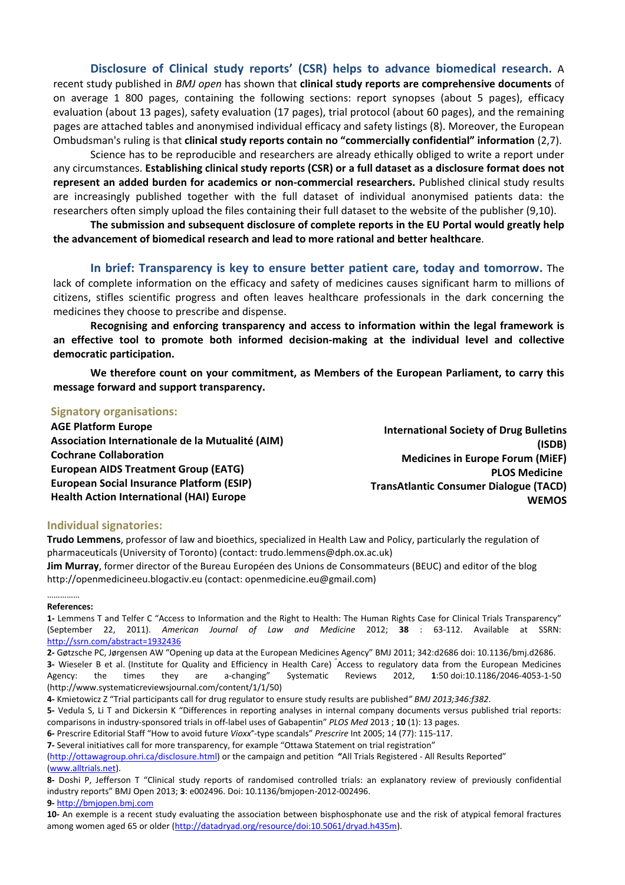**Disclosure of Clinical study reports' (CSR) helps to advance biomedical research.** A recent study published in *BMJ open* has shown that **clinical study reports are comprehensive documents** of on average 1 800 pages, containing the following sections: report synopses (about 5 pages), efficacy evaluation (about 13 pages), safety evaluation (17 pages), trial protocol (about 60 pages), and the remaining pages are attached tables and anonymised individual efficacy and safety listings (8). Moreover, the European Ombudsman's ruling is that **clinical study reports contain no "commercially confidential" information** (2,7).

Science has to be reproducible and researchers are already ethically obliged to write a report under any circumstances. Establishing clinical study reports (CSR) or a full dataset as a disclosure format does not **represent an added burden for academics or non-commercial researchers.** Published clinical study results are increasingly published together with the full dataset of individual anonymised patients data: the researchers often simply upload the files containing their full dataset to the website of the publisher (9,10).

The submission and subsequent disclosure of complete reports in the EU Portal would greatly help **the advancement of biomedical research and lead to more rational and better healthcare.** 

**In brief: Transparency is key to ensure better patient care, today and tomorrow.** The lack of complete information on the efficacy and safety of medicines causes significant harm to millions of citizens, stifles scientific progress and often leaves healthcare professionals in the dark concerning the medicines they choose to prescribe and dispense.

Recognising and enforcing transparency and access to information within the legal framework is an effective tool to promote both informed decision-making at the individual level and collective democratic participation.

We therefore count on your commitment, as Members of the European Parliament, to carry this message forward and support transparency.

### **Signatory organisations:**

**International Society of Drug Bulletins (ISDB) Medicines in Europe Forum (MIEF) PLOS Medicine TransAtlantic Consumer Dialogue (TACD) WEMOS AGE Platform Europe** Association Internationale de la Mutualité (AIM) **Cochrane&Collaboration European AIDS Treatment Group (EATG)** European Social Insurance Platform (ESIP) **Health Action International (HAI) Europe** 

#### **Individual signatories:**

Trudo Lemmens, professor of law and bioethics, specialized in Health Law and Policy, particularly the regulation of pharmaceuticals (University of Toronto) (contact: trudo.lemmens@dph.ox.ac.uk) **Jim Murray**, former director of the Bureau Européen des Unions de Consommateurs (BEUC) and editor of the blog

http://openmedicineeu.blogactiv.eu (contact: openmedicine.eu@gmail.com)

#### ………… **References:**

1- Lemmens T and Telfer C "Access to Information and the Right to Health: The Human Rights Case for Clinical Trials Transparency" (September 22, 2011). *American Journal of Law and Medicine* 2012; 38 : 63-112. Available at SSRN: http://ssrn.com/abstract=1932436

2- Gøtzsche PC, Jørgensen AW "Opening up data at the European Medicines Agency" BMJ 2011; 342:d2686 doi: 10.1136/bmi.d2686. 3- Wieseler B et al. (Institute for Quality and Efficiency in Health Care) <sup>"</sup>Access to regulatory data from the European Medicines Agency: the times they are a-changing" Systematic Reviews 2012, 1:50 doi:10.1186/2046-4053-1-50 (http://www.systematicreviewsjournal.com/content/1/1/50)

4- Kmietowicz Z "Trial participants call for drug regulator to ensure study results are published" BMJ 2013;346:f382.

5- Vedula S, Li T and Dickersin K "Differences in reporting analyses in internal company documents versus published trial reports: comparisons in industry-sponsored trials in off-label uses of Gabapentin" PLOS Med 2013 ; 10 (1): 13 pages.

6- Prescrire Editorial Staff "How to avoid future Vioxx<sup>o</sup>-type scandals" Prescrire Int 2005; 14 (77): 115-117.

**7**- Several initiatives call for more transparency, for example "Ottawa Statement on trial registration"

(http://ottawagroup.ohri.ca/disclosure.html) or the campaign and petition "All Trials Registered - All Results Reported" (www.alltrials.net).

8- Doshi P, Jefferson T "Clinical study reports of randomised controlled trials: an explanatory review of previously confidential industry reports" BMJ Open 2013; 3: e002496. Doi: 10.1136/bmjopen-2012-002496.

**9F** http://bmjopen.bmj.com

10- An exemple is a recent study evaluating the association between bisphosphonate use and the risk of atypical femoral fractures among women aged 65 or older (http://datadryad.org/resource/doi:10.5061/dryad.h435m).